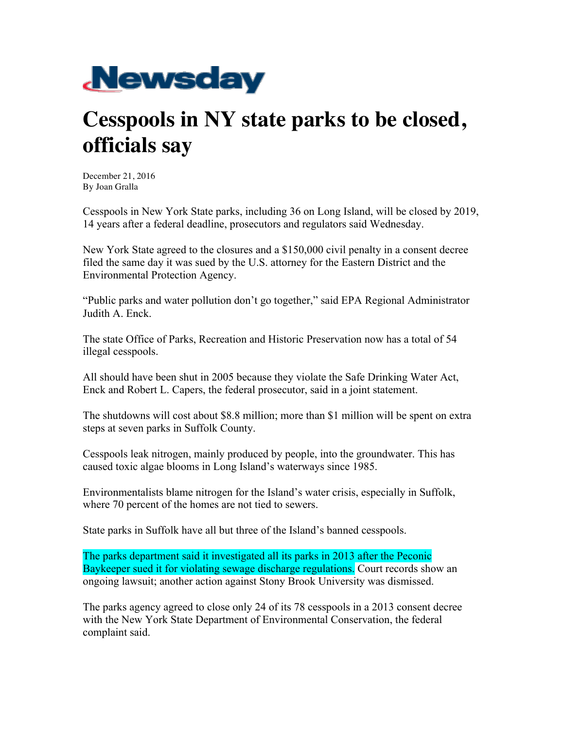

## **Cesspools in NY state parks to be closed, officials say**

December 21, 2016 By Joan Gralla

Cesspools in New York State parks, including 36 on Long Island, will be closed by 2019, 14 years after a federal deadline, prosecutors and regulators said Wednesday.

New York State agreed to the closures and a \$150,000 civil penalty in a consent decree filed the same day it was sued by the U.S. attorney for the Eastern District and the Environmental Protection Agency.

"Public parks and water pollution don't go together," said EPA Regional Administrator Judith A. Enck.

The state Office of Parks, Recreation and Historic Preservation now has a total of 54 illegal cesspools.

All should have been shut in 2005 because they violate the Safe Drinking Water Act, Enck and Robert L. Capers, the federal prosecutor, said in a joint statement.

The shutdowns will cost about \$8.8 million; more than \$1 million will be spent on extra steps at seven parks in Suffolk County.

Cesspools leak nitrogen, mainly produced by people, into the groundwater. This has caused toxic algae blooms in Long Island's waterways since 1985.

Environmentalists blame nitrogen for the Island's water crisis, especially in Suffolk, where 70 percent of the homes are not tied to sewers.

State parks in Suffolk have all but three of the Island's banned cesspools.

The parks department said it investigated all its parks in 2013 after the Peconic Baykeeper sued it for violating sewage discharge regulations. Court records show an ongoing lawsuit; another action against Stony Brook University was dismissed.

The parks agency agreed to close only 24 of its 78 cesspools in a 2013 consent decree with the New York State Department of Environmental Conservation, the federal complaint said.